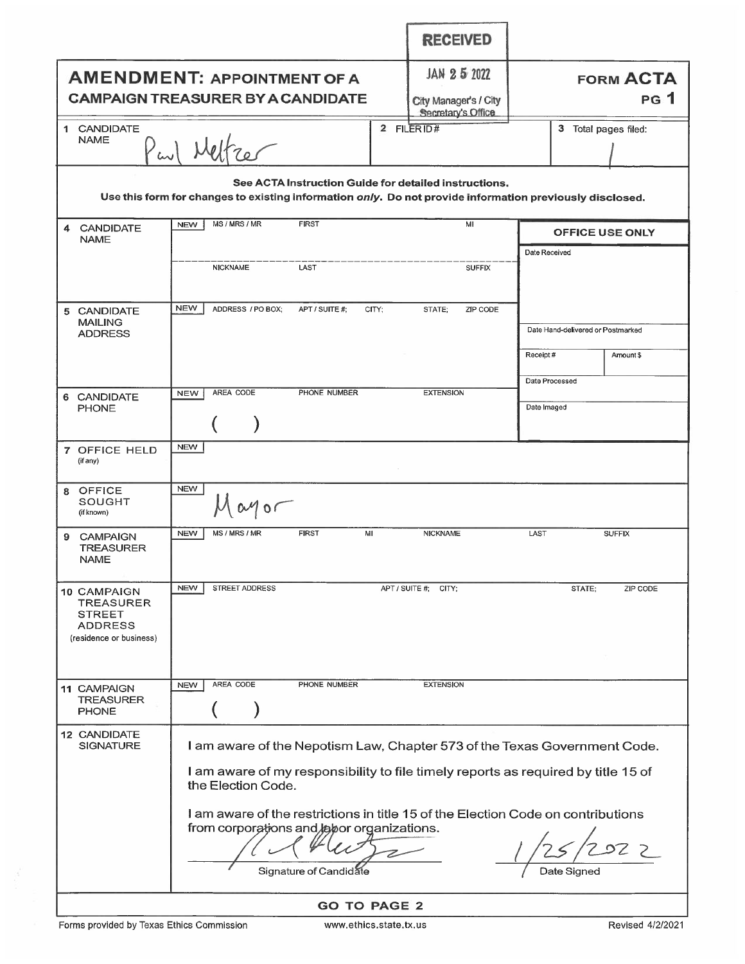|                                                                                                                                                                   |                                                                                                                                                                                      | <b>RECEIVED</b>                                           |                                   |  |
|-------------------------------------------------------------------------------------------------------------------------------------------------------------------|--------------------------------------------------------------------------------------------------------------------------------------------------------------------------------------|-----------------------------------------------------------|-----------------------------------|--|
|                                                                                                                                                                   | <b>AMENDMENT: APPOINTMENT OF A</b><br><b>CAMPAIGN TREASURER BY A CANDIDATE</b>                                                                                                       | JAN 2 5 2022                                              | <b>FORM ACTA</b><br>PG 1          |  |
| 1 CANDIDATE<br><b>NAME</b>                                                                                                                                        |                                                                                                                                                                                      | City Manager's / City<br>Secretary's Office<br>2 FILERID# | 3 Total pages filed:              |  |
| See ACTA Instruction Guide for detailed instructions.<br>Use this form for changes to existing information only. Do not provide information previously disclosed. |                                                                                                                                                                                      |                                                           |                                   |  |
| <b>CANDIDATE</b><br>4<br><b>NAME</b>                                                                                                                              | MS / MRS / MR<br><b>FIRST</b><br><b>NEW</b>                                                                                                                                          | MI                                                        | <b>OFFICE USE ONLY</b>            |  |
|                                                                                                                                                                   | <b>NICKNAME</b><br>LAST                                                                                                                                                              | <b>SUFFIX</b>                                             | Date Received                     |  |
| 5 CANDIDATE                                                                                                                                                       | <b>NEW</b><br>ADDRESS / PO BOX:<br>APT / SUITE #:<br>CITY:                                                                                                                           | STATE:<br>ZIP CODE                                        |                                   |  |
| <b>MAILING</b><br><b>ADDRESS</b>                                                                                                                                  |                                                                                                                                                                                      |                                                           | Date Hand-delivered or Postmarked |  |
|                                                                                                                                                                   |                                                                                                                                                                                      |                                                           | Receipt#<br>Amount \$             |  |
|                                                                                                                                                                   | AREA CODE<br>PHONE NUMBER<br><b>NEW</b>                                                                                                                                              | <b>EXTENSION</b>                                          | Date Processed                    |  |
| 6 CANDIDATE<br><b>PHONE</b>                                                                                                                                       |                                                                                                                                                                                      |                                                           | Date Imaged                       |  |
| 7 OFFICE HELD<br>(if any)                                                                                                                                         | <b>NEW</b>                                                                                                                                                                           |                                                           |                                   |  |
| <b>OFFICE</b><br>8<br>SOUGHT<br>(if known)                                                                                                                        | <b>NEW</b><br>040                                                                                                                                                                    |                                                           |                                   |  |
| <b>CAMPAIGN</b><br>9<br><b>TREASURER</b><br><b>NAME</b>                                                                                                           | MS / MRS / MR<br><b>FIRST</b><br>MI<br><b>NEW</b>                                                                                                                                    | <b>NICKNAME</b>                                           | LAST<br><b>SUFFIX</b>             |  |
| 10 CAMPAIGN<br><b>TREASURER</b><br><b>STREET</b><br><b>ADDRESS</b><br>(residence or business)                                                                     | <b>NEW</b><br>STREET ADDRESS                                                                                                                                                         | APT / SUITE #; CITY;                                      | STATE;<br>ZIP CODE                |  |
| 11 CAMPAIGN                                                                                                                                                       | AREA CODE<br>PHONE NUMBER<br><b>NEW</b>                                                                                                                                              | <b>EXTENSION</b>                                          |                                   |  |
| <b>TREASURER</b><br><b>PHONE</b>                                                                                                                                  |                                                                                                                                                                                      |                                                           |                                   |  |
| 12 CANDIDATE<br><b>SIGNATURE</b>                                                                                                                                  | I am aware of the Nepotism Law, Chapter 573 of the Texas Government Code.<br>I am aware of my responsibility to file timely reports as required by title 15 of<br>the Election Code. |                                                           |                                   |  |
|                                                                                                                                                                   | I am aware of the restrictions in title 15 of the Election Code on contributions<br>from corporations and tabor organizations.                                                       |                                                           |                                   |  |
|                                                                                                                                                                   | Signature of Candidate                                                                                                                                                               |                                                           | Date Signed                       |  |
| <b>GO TO PAGE 2</b>                                                                                                                                               |                                                                                                                                                                                      |                                                           |                                   |  |